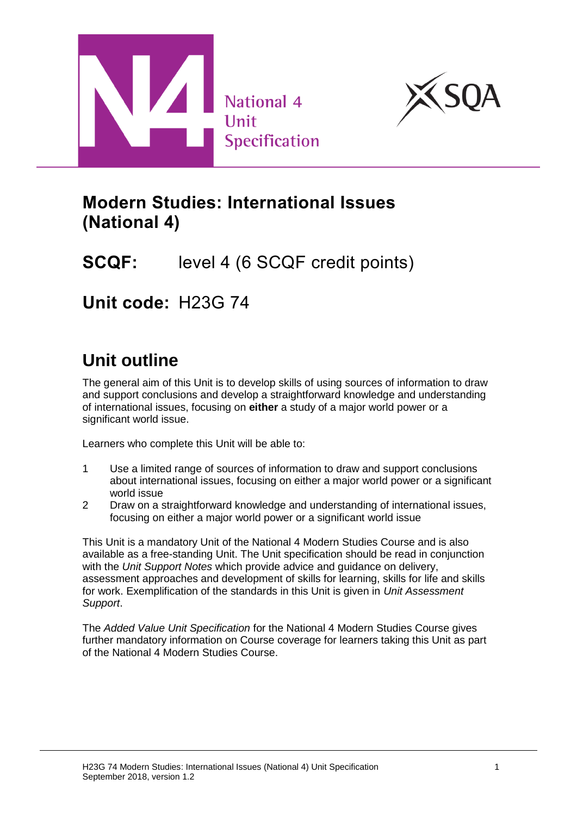



# **Modern Studies: International Issues (National 4)**

# **SCQF:** level 4 (6 SCQF credit points)

**Unit code:** H23G 74

# **Unit outline**

The general aim of this Unit is to develop skills of using sources of information to draw and support conclusions and develop a straightforward knowledge and understanding of international issues, focusing on **either** a study of a major world power or a significant world issue.

Learners who complete this Unit will be able to:

- 1 Use a limited range of sources of information to draw and support conclusions about international issues, focusing on either a major world power or a significant world issue
- 2 Draw on a straightforward knowledge and understanding of international issues, focusing on either a major world power or a significant world issue

This Unit is a mandatory Unit of the National 4 Modern Studies Course and is also available as a free-standing Unit. The Unit specification should be read in conjunction with the *Unit Support Notes* which provide advice and guidance on delivery, assessment approaches and development of skills for learning, skills for life and skills for work. Exemplification of the standards in this Unit is given in *Unit Assessment Support*.

The *Added Value Unit Specification* for the National 4 Modern Studies Course gives further mandatory information on Course coverage for learners taking this Unit as part of the National 4 Modern Studies Course.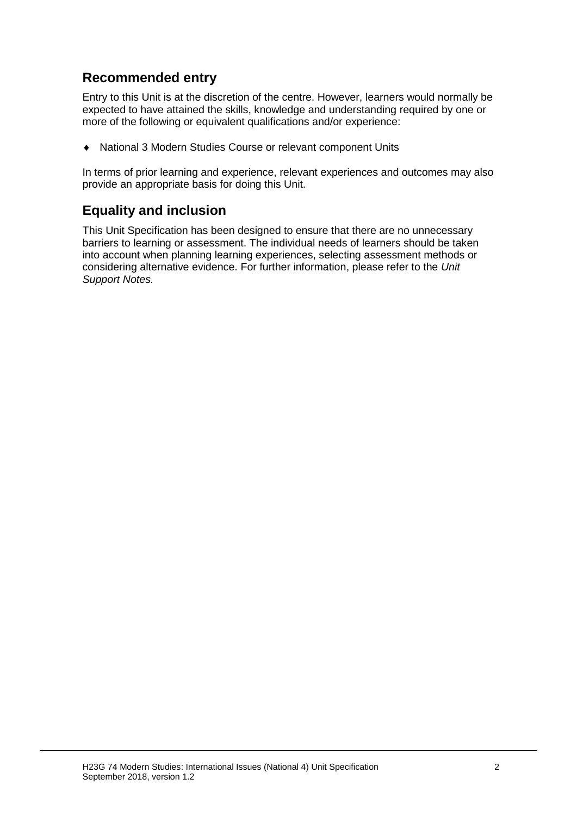#### **Recommended entry**

Entry to this Unit is at the discretion of the centre. However, learners would normally be expected to have attained the skills, knowledge and understanding required by one or more of the following or equivalent qualifications and/or experience:

National 3 Modern Studies Course or relevant component Units

In terms of prior learning and experience, relevant experiences and outcomes may also provide an appropriate basis for doing this Unit.

#### **Equality and inclusion**

This Unit Specification has been designed to ensure that there are no unnecessary barriers to learning or assessment. The individual needs of learners should be taken into account when planning learning experiences, selecting assessment methods or considering alternative evidence. For further information, please refer to the *Unit Support Notes.*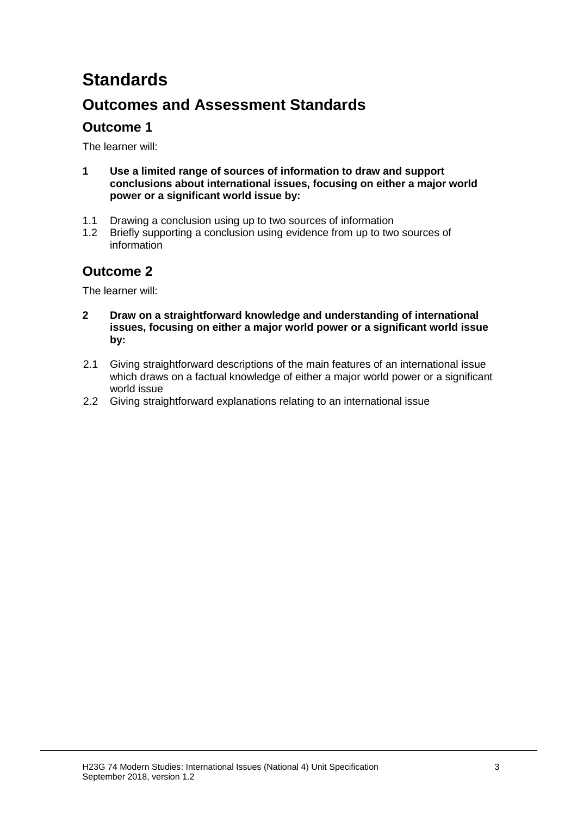# **Standards**

### **Outcomes and Assessment Standards**

#### **Outcome 1**

The learner will:

- **1 Use a limited range of sources of information to draw and support conclusions about international issues, focusing on either a major world power or a significant world issue by:**
- 1.1 Drawing a conclusion using up to two sources of information
- 1.2 Briefly supporting a conclusion using evidence from up to two sources of information

#### **Outcome 2**

The learner will:

- **2 Draw on a straightforward knowledge and understanding of international issues, focusing on either a major world power or a significant world issue by:**
- 2.1 Giving straightforward descriptions of the main features of an international issue which draws on a factual knowledge of either a major world power or a significant world issue
- 2.2 Giving straightforward explanations relating to an international issue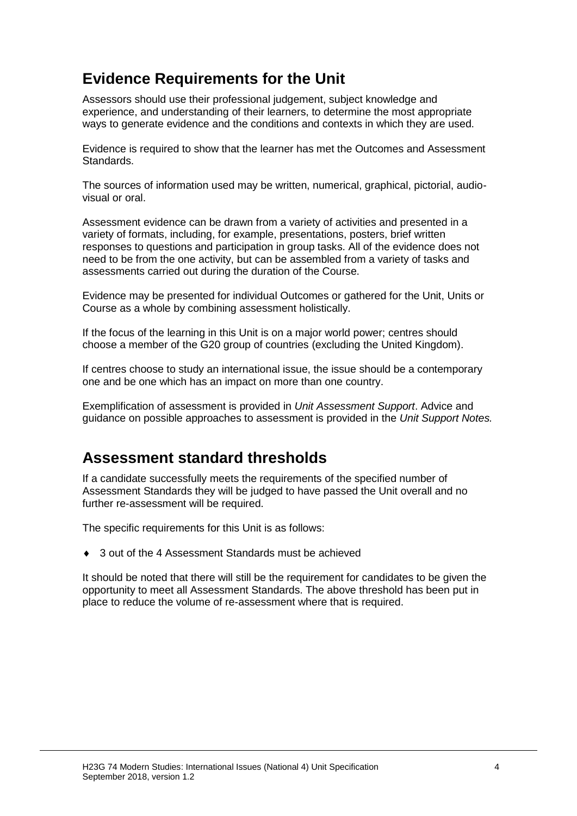## **Evidence Requirements for the Unit**

Assessors should use their professional judgement, subject knowledge and experience, and understanding of their learners, to determine the most appropriate ways to generate evidence and the conditions and contexts in which they are used.

Evidence is required to show that the learner has met the Outcomes and Assessment Standards.

The sources of information used may be written, numerical, graphical, pictorial, audiovisual or oral.

Assessment evidence can be drawn from a variety of activities and presented in a variety of formats, including, for example, presentations, posters, brief written responses to questions and participation in group tasks. All of the evidence does not need to be from the one activity, but can be assembled from a variety of tasks and assessments carried out during the duration of the Course.

Evidence may be presented for individual Outcomes or gathered for the Unit, Units or Course as a whole by combining assessment holistically.

If the focus of the learning in this Unit is on a major world power; centres should choose a member of the G20 group of countries (excluding the United Kingdom).

If centres choose to study an international issue, the issue should be a contemporary one and be one which has an impact on more than one country.

Exemplification of assessment is provided in *Unit Assessment Support*. Advice and guidance on possible approaches to assessment is provided in the *Unit Support Notes.*

#### **Assessment standard thresholds**

If a candidate successfully meets the requirements of the specified number of Assessment Standards they will be judged to have passed the Unit overall and no further re-assessment will be required.

The specific requirements for this Unit is as follows:

3 out of the 4 Assessment Standards must be achieved

It should be noted that there will still be the requirement for candidates to be given the opportunity to meet all Assessment Standards. The above threshold has been put in place to reduce the volume of re-assessment where that is required.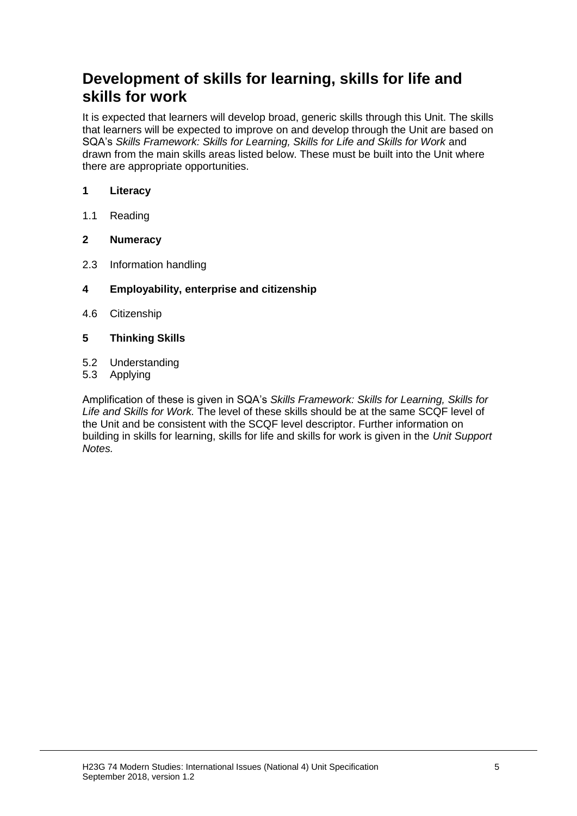### **Development of skills for learning, skills for life and skills for work**

It is expected that learners will develop broad, generic skills through this Unit. The skills that learners will be expected to improve on and develop through the Unit are based on SQA's *Skills Framework: Skills for Learning, Skills for Life and Skills for Work and* drawn from the main skills areas listed below. These must be built into the Unit where there are appropriate opportunities.

#### **1 Literacy**

1.1 Reading

#### **2 Numeracy**

- 2.3 Information handling
- **4 Employability, enterprise and citizenship**
- 4.6 Citizenship
- **5 Thinking Skills**
- 5.2 Understanding
- 5.3 Applying

Amplification of these is given in SQA's *Skills Framework: Skills for Learning, Skills for Life and Skills for Work.* The level of these skills should be at the same SCQF level of the Unit and be consistent with the SCQF level descriptor. Further information on building in skills for learning, skills for life and skills for work is given in the *Unit Support Notes.*